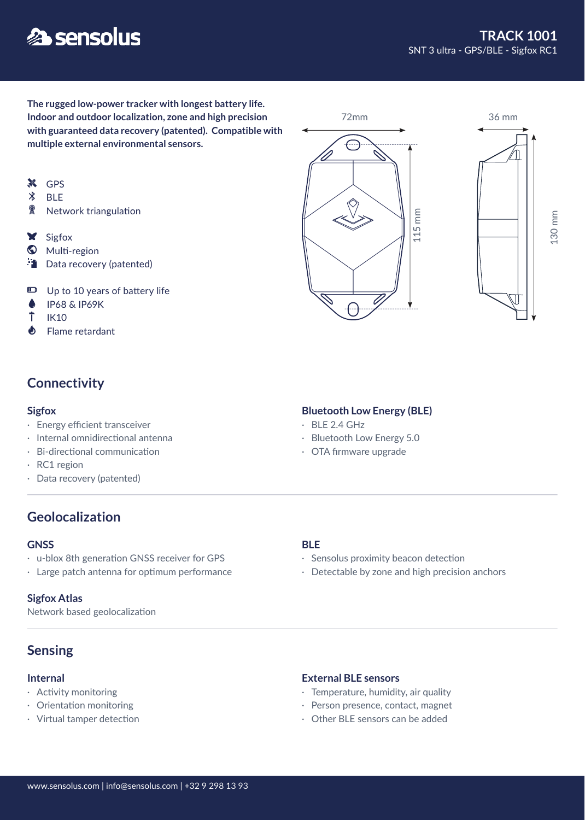# **多 sensolus**

**The rugged low-power tracker with longest battery life. Indoor and outdoor localization, zone and high precision with guaranteed data recovery (patented). Compatible with multiple external environmental sensors.**

- **X** GPS
- $\ast$ BLE
- 2 Network triangulation
- X Sigfox
- **W** Multi-region
- Data recovery (patented)
- Up to 10 years of battery life
- IP68 & IP69K ۸
- Ť IK10
- $\spadesuit$ Flame retardant

## **Connectivity**

- · Energy efficient transceiver
- · Internal omnidirectional antenna
- · Bi-directional communication
- · RC1 region
- · Data recovery (patented)

## **Geolocalization**

#### **GNSS**

- · u-blox 8th generation GNSS receiver for GPS
- · Large patch antenna for optimum performance

#### **Sigfox Atlas**

Network based geolocalization

## **Sensing**

#### **Internal**

- · Activity monitoring
- · Orientation monitoring
- · Virtual tamper detection

#### **BLE**

- · Sensolus proximity beacon detection
- · Detectable by zone and high precision anchors

#### **External BLE sensors**

- · Temperature, humidity, air quality
- · Person presence, contact, magnet
- 





#### $\cdot$  BLE 2.4 GHz **Sigfox** Bluetooth Low Energy (BLE)

- 
- · Bluetooth Low Energy 5.0
- · OTA firmware upgrade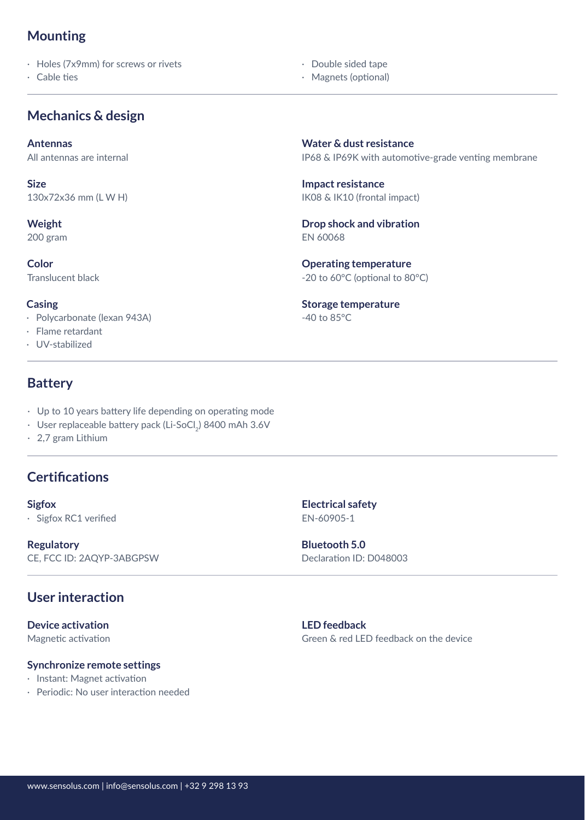## **Mounting**

· Holes (7x9mm) for screws or rivets

· Cable ties

## **Mechanics & design**

**Antennas**

All antennas are internal

**Size** 130x72x36 mm (L W H)

**Weight**

200 gram

**Color** Translucent black

**Casing**

- · Polycarbonate (lexan 943A)
- · Flame retardant
- · UV-stabilized

## **Battery**

- · Up to 10 years battery life depending on operating mode
- $\,\cdot\,$  User replaceable battery pack (Li-SoCl $_2$ ) 8400 mAh 3.6V
- · 2,7 gram Lithium

## **Certifications**

· Sigfox RC1 verified EN-60905-1

**Regulatory** CE, FCC ID: 2AQYP-3ABGPSW

## **User interaction**

**Device activation** Magnetic activation

#### **Synchronize remote settings**

- · Instant: Magnet activation
- · Periodic: No user interaction needed

IP68 & IP69K with automotive-grade venting membrane **Water & dust resistance**

IK08 & IK10 (frontal impact) **Impact resistance**

 · Double sided tape · Magnets (optional)

EN 60068 **Drop shock and vibration**

-20 to 60°C (optional to 80°C) **Operating temperature**

-40 to 85°C **Storage temperature**

**Sigfox Electrical safety**

Declaration ID: D048003 **Bluetooth 5.0**

**LED feedback** Green & red LED feedback on the device